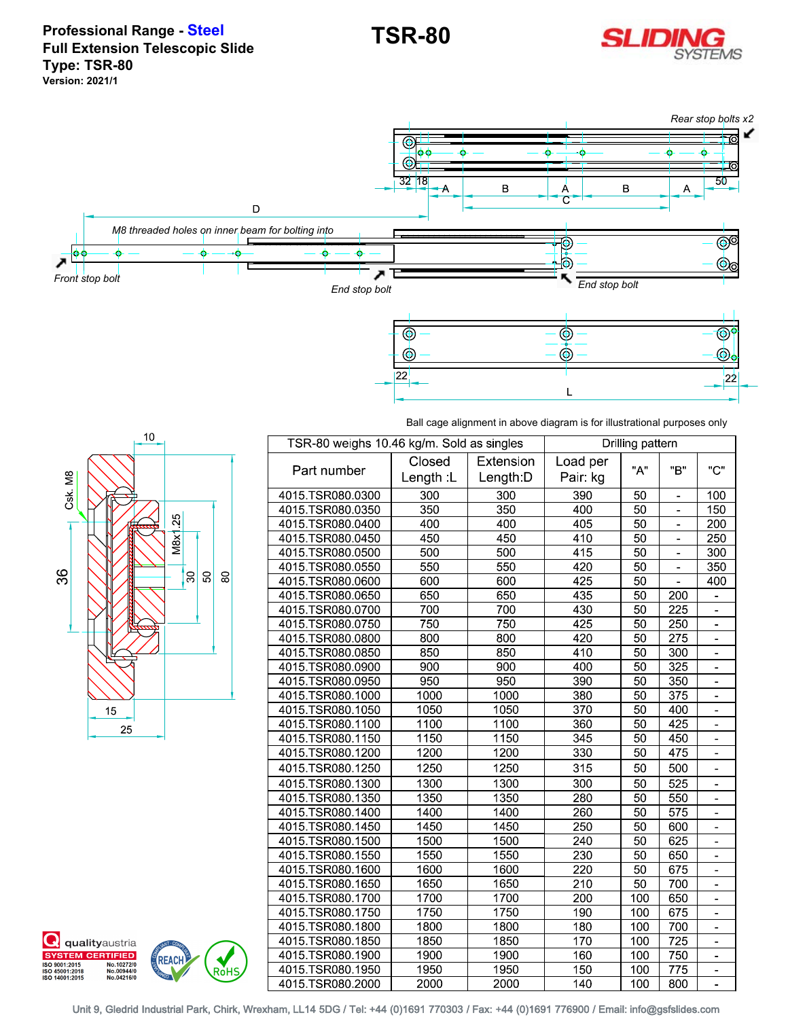

**Professional Range - Steel Full Extension Telescopic Slide Type: TSR-80 Version: 2021/1**



Ball cage alignment in above diagram is for illustrational purposes only



**Q** qualityaustria **SYSTEM CERTIFIED** 

No.10272/0<br>No.00944/0<br>No.04216/0

ISO 9001:2015<br>ISO 45001:2018<br>ISO 14001:2015

**REACH** 

Ro้HS

| TSR-80 weighs 10.46 kg/m. Sold as singles |                    |                        | Drilling pattern    |                 |                  |                |
|-------------------------------------------|--------------------|------------------------|---------------------|-----------------|------------------|----------------|
| Part number                               | Closed<br>Length L | Extension<br>Length: D | Load per<br>Pair kg | "А"             | "R"              | "C"            |
| 4015 TSR080 0300                          | 300                | 300                    | 390                 | 50              | ۰                | 100            |
| 4015 TSR080 0350                          | 350                | 350                    | 400                 | 50              |                  | 150            |
| 4015 TSR080 0400                          | 400                | 400                    | 405                 | $\overline{50}$ |                  | 200            |
| 4015 TSR080 0450                          | 450                | 450                    | 410                 | 50              |                  | 250            |
| 4015 TSR080 0500                          | 500                | 500                    | 415                 | 50              |                  | 300            |
| 4015 TSR080 0550                          | 550                | 550                    | 420                 | 50              |                  | 350            |
| 4015 TSR080 0600                          | 600                | 600                    | 425                 | 50              |                  | 400            |
| 4015 TSR080 0650                          | 650                | 650                    | 435                 | 50              | 200              |                |
| 4015 TSR080 0700                          | 700                | 700                    | 430                 | 50              | 225              | $\blacksquare$ |
| 4015 TSR080 0750                          | 750                | 750                    | 425                 | 50              | 250              | $\blacksquare$ |
| 4015 TSR080 0800                          | 800                | 800                    | 420                 | 50              | 275              | $\blacksquare$ |
| 4015 TSR080 0850                          | 850                | 850                    | 410                 | $\overline{50}$ | 300              |                |
| 4015 TSR080 0900                          | 900                | 900                    | 400                 | 50              | $\overline{325}$ |                |
| 4015 TSR080 0950                          | 950                | 950                    | 390                 | 50              | 350              |                |
| 4015 TSR080 1000                          | 1000               | 1000                   | 380                 | 50              | 375              |                |
| 4015 TSR080 1050                          | 1050               | 1050                   | 370                 | 50              | 400              |                |
| 4015 TSR080 1100                          | 1100               | 1100                   | 360                 | 50              | 425              |                |
| 4015 TSR080 1150                          | 1150               | 1150                   | 345                 | 50              | 450              |                |
| 4015 TSR080 1200                          | 1200               | 1200                   | 330                 | 50              | 475              |                |
| 4015 TSR080 1250                          | 1250               | 1250                   | 315                 | 50              | 500              |                |
| 4015 TSR080 1300                          | 1300               | 1300                   | 300                 | 50              | $\overline{525}$ |                |
| 4015 TSR080 1350                          | 1350               | 1350                   | 280                 | $\overline{50}$ | 550              |                |
| 4015 TSR080 1400                          | 1400               | 1400                   | 260                 | 50              | 575              |                |
| 4015 TSR080 1450                          | 1450               | 1450                   | 250                 | 50              | 600              |                |
| 4015 TSR080 1500                          | 1500               | 1500                   | 240                 | 50              | 625              |                |
| 4015 TSR080 1550                          | 1550               | 1550                   | 230                 | 50              | 650              |                |
| 4015 TSR080 1600                          | 1600               | 1600                   | 220                 | 50              | 675              |                |
| 4015 TSR080 1650                          | 1650               | 1650                   | 210                 | 50              | 700              |                |
| 4015 TSR080 1700                          | 1700               | 1700                   | 200                 | 100             | 650              |                |
| 4015 TSR080 1750                          | 1750               | 1750                   | 190                 | 100             | 675              |                |
| 4015 TSR080 1800                          | 1800               | 1800                   | 180                 | 100             | 700              |                |
| 4015 TSR080 1850                          | 1850               | 1850                   | 170                 | 100             | $\overline{725}$ |                |
| 4015 TSR080 1900                          | 1900               | 1900                   | 160                 | 100             | 750              |                |
| 4015 TSR080 1950                          | 1950               | 1950                   | 150                 | 100             | 775              |                |
| 4015 TSR080 2000                          | 2000               | 2000                   | 140                 | 100             | 800              | $\blacksquare$ |

Unit 9, Gledrid Industrial Park, Chirk, Wrexham, LL14 5DG / Tel: +44 (0)1691 770303 / Fax: +44 (0)1691 776900 / Email: info@gsfslides.com